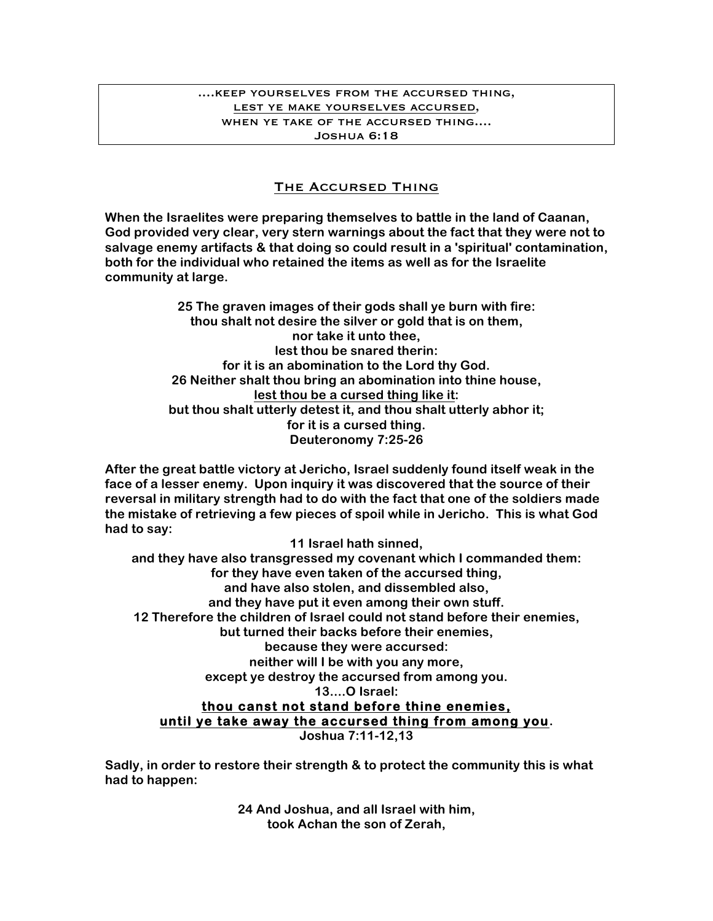## ....keep yourselves from the accursed thing, lest ye make yourselves accursed, when ye take of the accursed thing.... Joshua 6:18

## The Accursed Thing

**When the Israelites were preparing themselves to battle in the land of Caanan, God provided very clear, very stern warnings about the fact that they were not to salvage enemy artifacts & that doing so could result in a 'spiritual' contamination, both for the individual who retained the items as well as for the Israelite community at large.**

> **25 The graven images of their gods shall ye burn with fire: thou shalt not desire the silver or gold that is on them, nor take it unto thee, lest thou be snared therin: for it is an abomination to the Lord thy God. 26 Neither shalt thou bring an abomination into thine house, lest thou be a cursed thing like it: but thou shalt utterly detest it, and thou shalt utterly abhor it; for it is a cursed thing. Deuteronomy 7:25-26**

**After the great battle victory at Jericho, Israel suddenly found itself weak in the face of a lesser enemy. Upon inquiry it was discovered that the source of their reversal in military strength had to do with the fact that one of the soldiers made the mistake of retrieving a few pieces of spoil while in Jericho. This is what God had to say:**

**11 Israel hath sinned,** 

**and they have also transgressed my covenant which I commanded them: for they have even taken of the accursed thing, and have also stolen, and dissembled also, and they have put it even among their own stuff. 12 Therefore the children of Israel could not stand before their enemies, but turned their backs before their enemies, because they were accursed: neither will I be with you any more, except ye destroy the accursed from among you. 13....O Israel: thou canst not stand before thine enemies, until ye take away the accursed thing from among you. Joshua 7:11-12,13**

**Sadly, in order to restore their strength & to protect the community this is what had to happen:**

> **24 And Joshua, and all Israel with him, took Achan the son of Zerah,**